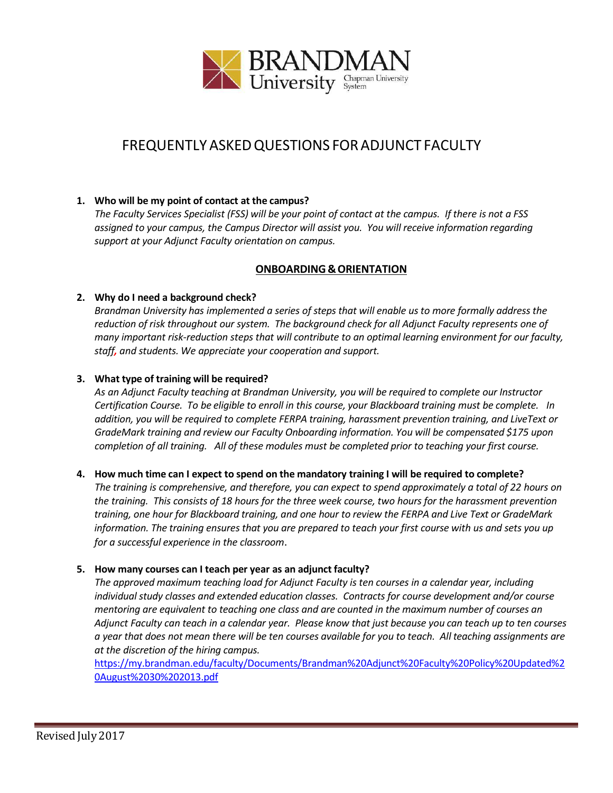

# FREQUENTLY ASKEDQUESTIONS FORADJUNCT FACULTY

## **1. Who will be my point of contact at the campus?**

*The Faculty Services Specialist (FSS) will be your point of contact at the campus. If there is not a FSS assigned to your campus, the Campus Director will assist you. You will receive information regarding support at your Adjunct Faculty orientation on campus.*

## **ONBOARDING &ORIENTATION**

## **2. Why do I need a background check?**

*Brandman University has implemented a series of steps that will enable us to more formally address the reduction of risk throughout our system. The background check for all Adjunct Faculty represents one of many important risk-reduction steps that will contribute to an optimal learning environment for our faculty, staff, and students. We appreciate your cooperation and support.*

## **3. What type of training will be required?**

*As an Adjunct Faculty teaching at Brandman University, you will be required to complete our Instructor Certification Course. To be eligible to enroll in this course, your Blackboard training must be complete. In addition, you will be required to complete FERPA training, harassment prevention training, and LiveText or GradeMark training and review our Faculty Onboarding information. You will be compensated \$175 upon completion of all training. All of these modules must be completed prior to teaching your first course.*

## 4. How much time can I expect to spend on the mandatory training I will be required to complete?

The training is comprehensive, and therefore, you can expect to spend approximately a total of 22 hours on *the training. This consists of 18 hours for the three week course, two hours for the harassment prevention training, one hour for Blackboard training, and one hour to review the FERPA and Live Text or GradeMark information. The training ensures that you are prepared to teach your first course with us and sets you up for a successful experience in the classroom*.

## **5. How many courses can I teach per year as an adjunct faculty?**

*The approved maximum teaching load for Adjunct Faculty is ten courses in a calendar year, including individual study classes and extended education classes. Contracts for course development and/or course mentoring are equivalent to teaching one class and are counted in the maximum number of courses an* Adjunct Faculty can teach in a calendar year. Please know that just because you can teach up to ten courses a year that does not mean there will be ten courses available for you to teach. All teaching assignments are *at the discretion of the hiring campus.*

[https://my.brandman.edu/faculty/Documents/Brandman%20Adjunct%20Faculty%20Policy%20Updated%2](https://my.brandman.edu/faculty/Documents/Brandman%20Adjunct%20Faculty%20Policy%20Updated%20August%2030%202013.pdf) [0August%2030%202013.pdf](https://my.brandman.edu/faculty/Documents/Brandman%20Adjunct%20Faculty%20Policy%20Updated%20August%2030%202013.pdf)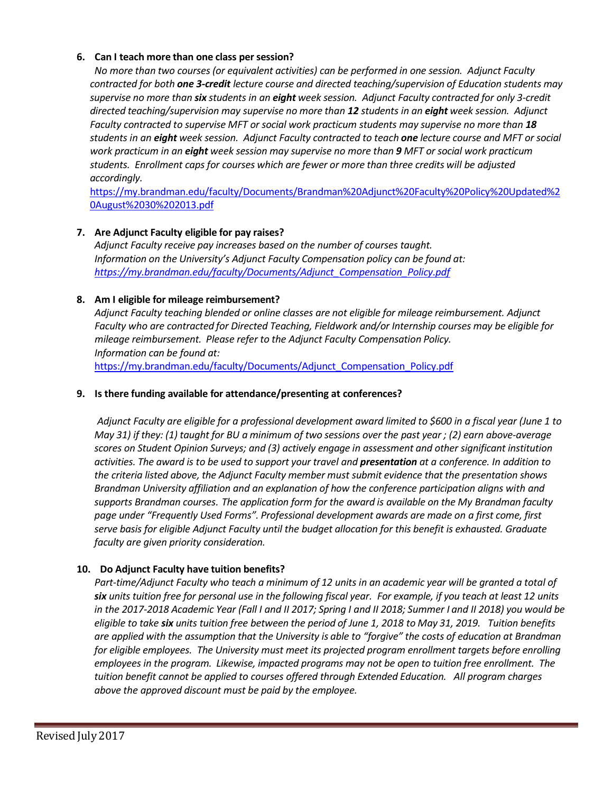## **6. Can I teach more than one class persession?**

*No more than two courses (or equivalent activities) can be performed in one session. Adjunct Faculty contracted for both one 3-credit lecture course and directed teaching/supervision of Education students may supervise no more than six students in an eight week session. Adjunct Faculty contracted for only 3-credit directed teaching/supervision may supervise no more than 12 students in an eight week session. Adjunct Faculty contracted to supervise MFT or social work practicum students may supervise no more than 18 students in an eight week session. Adjunct Faculty contracted to teach one lecture course and MFT or social work practicum in an eight week session may supervise no more than 9 MFT or social work practicum students. Enrollment caps for courses which are fewer or more than three credits will be adjusted accordingly.*

[https://my.brandman.edu/faculty/Documents/Brandman%20Adjunct%20Faculty%20Policy%20Updated%2](https://my.brandman.edu/faculty/Documents/Brandman%20Adjunct%20Faculty%20Policy%20Updated%20August%2030%202013.pdf) [0August%2030%202013.pdf](https://my.brandman.edu/faculty/Documents/Brandman%20Adjunct%20Faculty%20Policy%20Updated%20August%2030%202013.pdf)

## **7. Are Adjunct Faculty eligible for pay raises?**

*Adjunct Faculty receive pay increases based on the number of courses taught. Information on the University's Adjunct Faculty Compensation policy can be found at: [https://my.brandman.edu/faculty/Documents/Adjunct\\_Compensation\\_Policy.pdf](https://my.brandman.edu/faculty/Documents/Adjunct_Compensation_Policy.pdf)*

## **8. Am I eligible for mileage reimbursement?**

*Adjunct Faculty teaching blended or online classes are not eligible for mileage reimbursement. Adjunct Faculty who are contracted for Directed Teaching, Fieldwork and/or Internship courses may be eligible for mileage reimbursement. Please refer to the Adjunct Faculty Compensation Policy. Information can be found at:* [https://my.brandman.edu/faculty/Documents/Adjunct\\_Compensation\\_Policy.pdf](https://my.brandman.edu/faculty/Documents/Adjunct_Compensation_Policy.pdf)

## **9. Is there funding available for attendance/presenting at conferences?**

Adjunct Faculty are eligible for a professional development award limited to \$600 in a fiscal year (June 1 to May 31) if they: (1) taught for BU a minimum of two sessions over the past year ; (2) earn above-average *scores on Student Opinion Surveys; and (3) actively engage in assessment and other significant institution activities. The award is to be used to support your travel and presentation at a conference. In addition to the criteria listed above, the Adjunct Faculty member must submit evidence that the presentation shows Brandman University affiliation and an explanation of how the conference participation aligns with and supports Brandman courses. The application form for the award is available on the My Brandman faculty page under "Frequently Used Forms". Professional development awards are made on a first come, first serve basis for eligible Adjunct Faculty until the budget allocation for this benefit is exhausted. Graduate faculty are given priority consideration.*

## **10. Do Adjunct Faculty have tuition benefits?**

*Part-time/Adjunct Faculty who teach a minimum of 12 units in an academic year will be granted a total of* six units tuition free for personal use in the following fiscal year. For example, if you teach at least 12 units in the 2017-2018 Academic Year (Fall I and II 2017; Spring I and II 2018; Summer I and II 2018) you would be eligible to take six units tuition free between the period of June 1, 2018 to May 31, 2019. Tuition benefits are applied with the assumption that the University is able to "forgive" the costs of education at Brandman *for eligible employees. The University must meet its projected program enrollment targets before enrolling employees in the program. Likewise, impacted programs may not be open to tuition free enrollment. The tuition benefit cannot be applied to courses offered through Extended Education. All program charges above the approved discount must be paid by the employee.*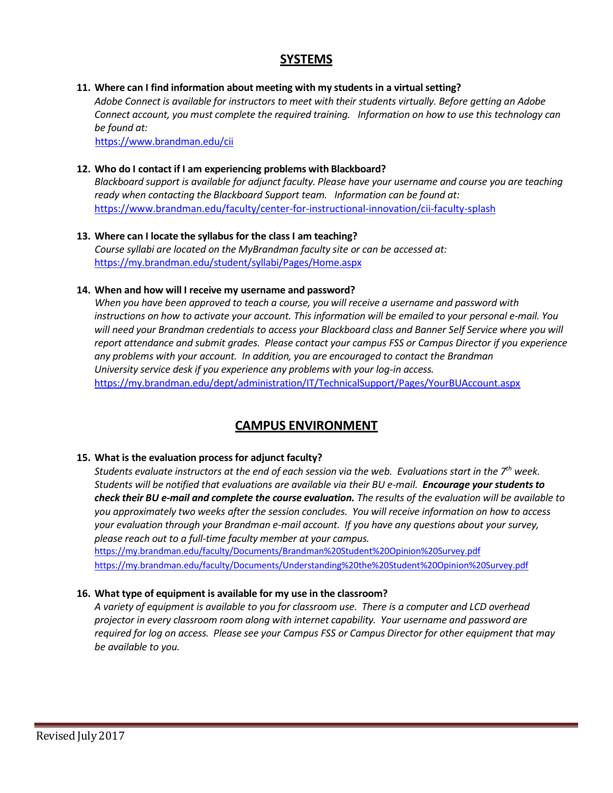## **SYSTEMS**

## **11. Where can I find information about meeting with my students in a virtual setting?**

*Adobe Connect is available for instructors to meet with their students virtually. Before getting an Adobe Connect account, you must complete the required training. Information on how to use this technology can be found at:*

[https://www.brandman.edu/cii](https://www.brandman.edu/cii/)

## **12. Who do I contact if I am experiencing problems with Blackboard?**

*Blackboard support is available for adjunct faculty. Please have your username and course you are teaching ready when contacting the Blackboard Support team. Information can be found at:* <https://www.brandman.edu/faculty/center-for-instructional-innovation/cii-faculty-splash>

### **13. Where can I locate the syllabus for the class I am teaching?** *Course syllabi are located on the MyBrandman faculty site or can be accessed at:* <https://my.brandman.edu/student/syllabi/Pages/Home.aspx>

## **14. When and how will I receive my username and password?**

*When you have been approved to teach a course, you will receive a username and password with* instructions on how to activate your account. This information will be emailed to your personal e-mail. You *will need your Brandman credentials to access your Blackboard class and Banner Self Service where you will report attendance and submit grades. Please contact your campus FSS or Campus Director if you experience any problems with your account. In addition, you are encouraged to contact the Brandman University service desk if you experience any problems with your log-in access.*  <https://my.brandman.edu/dept/administration/IT/TechnicalSupport/Pages/YourBUAccount.aspx>

## **CAMPUS ENVIRONMENT**

## **15. What is the evaluation process for adjunct faculty?**

*Students evaluate instructors at the end of each session via the web. Evaluations start in the 7 th week. Students will be notified that evaluations are available via their BU e-mail. Encourage yourstudentsto check their BU e-mail and complete the course evaluation. The results of the evaluation will be available to you approximately two weeks after the session concludes. You will receive information on how to access your evaluation through your Brandman e-mail account. If you have any questions about your survey, please reach out to a full-time faculty member at your campus.*

<https://my.brandman.edu/faculty/Documents/Brandman%20Student%20Opinion%20Survey.pdf> <https://my.brandman.edu/faculty/Documents/Understanding%20the%20Student%20Opinion%20Survey.pdf>

## **16. What type of equipment is available for my use in the classroom?**

*A variety of equipment is available to you for classroom use. There is a computer and LCD overhead projector in every classroom room along with internet capability. Your username and password are required for log on access. Please see your Campus FSS or Campus Director for other equipment that may be available to you.*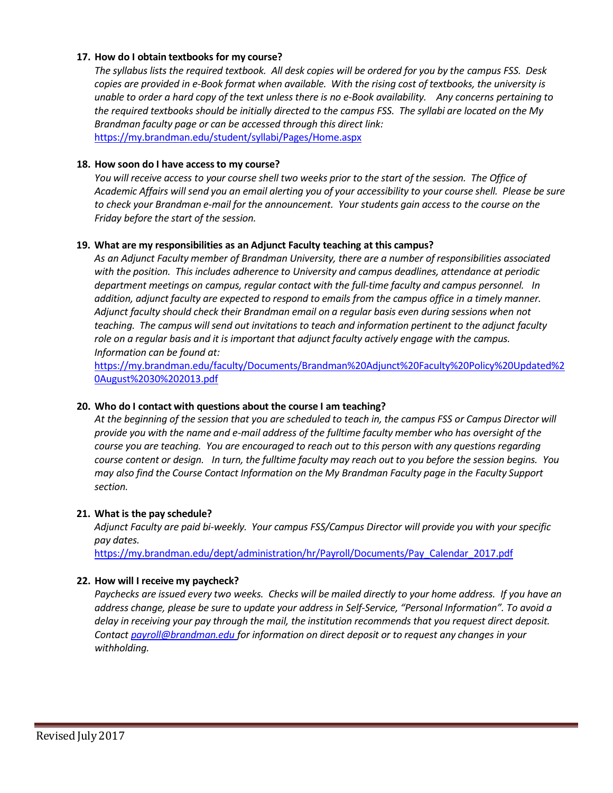## **17. How do I obtain textbooks for my course?**

*The syllabus lists the required textbook. All desk copies will be ordered for you by the campus FSS. Desk copies are provided in e-Book format when available. With the rising cost of textbooks, the university is unable to order a hard copy of the text unless there is no e-Book availability. Any concerns pertaining to the required textbooks should be initially directed to the campus FSS. The syllabi are located on the My Brandman faculty page or can be accessed through this direct link:* <https://my.brandman.edu/student/syllabi/Pages/Home.aspx>

#### **18. How soon do I have accessto my course?**

You will receive access to your course shell two weeks prior to the start of the session. The Office of Academic Affairs will send you an email alerting you of your accessibility to your course shell. Please be sure *to check your Brandman e-mail for the announcement. Your students gain access to the course on the Friday before the start of the session.*

#### **19. What are my responsibilities as an Adjunct Faculty teaching at this campus?**

*As an Adjunct Faculty member of Brandman University, there are a number of responsibilities associated with the position. This includes adherence to University and campus deadlines, attendance at periodic department meetings on campus, regular contact with the full-time faculty and campus personnel. In addition, adjunct faculty are expected to respond to emails from the campus office in a timely manner. Adjunct faculty should check their Brandman email on a regular basis even during sessions when not teaching. The campus will send out invitations to teach and information pertinent to the adjunct faculty role on a regular basis and it is important that adjunct faculty actively engage with the campus. Information can be found at:*

[https://my.brandman.edu/faculty/Documents/Brandman%20Adjunct%20Faculty%20Policy%20Updated%2](https://my.brandman.edu/faculty/Documents/Brandman%20Adjunct%20Faculty%20Policy%20Updated%20August%2030%202013.pdf) [0August%2030%202013.pdf](https://my.brandman.edu/faculty/Documents/Brandman%20Adjunct%20Faculty%20Policy%20Updated%20August%2030%202013.pdf)

## **20. Who do I contact with questions about the course I am teaching?**

*At the beginning of the session that you are scheduled to teach in, the campus FSS or Campus Director will provide you with the name and e-mail address of the fulltime faculty member who has oversight of the course you are teaching. You are encouraged to reach out to this person with any questions regarding course content or design. In turn, the fulltime faculty may reach out to you before the session begins. You may also find the Course Contact Information on the My Brandman Faculty page in the Faculty Support section.*

#### **21. What is the pay schedule?**

*Adjunct Faculty are paid bi-weekly. Your campus FSS/Campus Director will provide you with your specific pay dates.*

[https://my.brandman.edu/dept/administration/hr/Payroll/Documents/Pay\\_Calendar\\_2017.pdf](https://my.brandman.edu/dept/administration/hr/Payroll/Documents/Pay_Calendar_2017.pdf)

## **22. How will I receive my paycheck?**

*Paychecks are issued every two weeks. Checks will be mailed directly to your home address. If you have an address change, please be sure to update your address in Self-Service, "Personal Information". To avoid a delay in receiving your pay through the mail, the institution recommends that you request direct deposit. Contact [payroll@brandman.edu](mailto:payroll@brandman.edu) for information on direct deposit or to request any changes in your withholding.*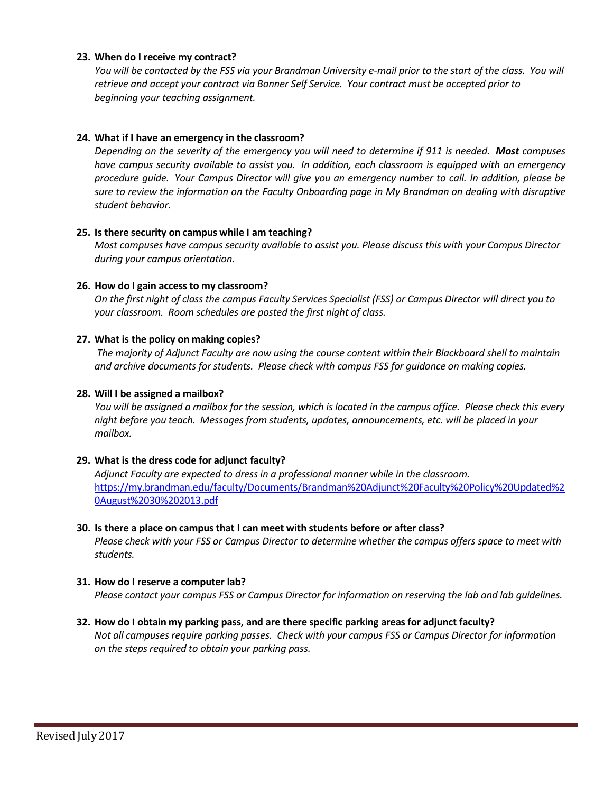## **23. When do I receive my contract?**

You will be contacted by the FSS via your Brandman University e-mail prior to the start of the class. You will *retrieve and accept your contract via Banner Self Service. Your contract must be accepted prior to beginning your teaching assignment.*

## **24. What if I have an emergency in the classroom?**

*Depending on the severity of the emergency you will need to determine if 911 is needed. Most campuses have campus security available to assist you. In addition, each classroom is equipped with an emergency procedure guide. Your Campus Director will give you an emergency number to call. In addition, please be sure to review the information on the Faculty Onboarding page in My Brandman on dealing with disruptive student behavior.*

#### **25. Is there security on campus while I am teaching?**

*Most campuses have campus security available to assist you. Please discuss this with your Campus Director during your campus orientation.*

#### **26. How do I gain access to my classroom?**

*On the first night of class the campus Faculty Services Specialist (FSS) or Campus Director will direct you to your classroom. Room schedules are posted the first night of class.*

#### **27. What is the policy on making copies?**

*The majority of Adjunct Faculty are now using the course content within their Blackboard shell to maintain and archive documents for students. Please check with campus FSS for guidance on making copies.*

#### **28. Will I be assigned a mailbox?**

You will be assigned a mailbox for the session, which is located in the campus office. Please check this every *night before you teach. Messages from students, updates, announcements, etc. will be placed in your mailbox.*

#### **29. What is the dress code for adjunct faculty?**

*Adjunct Faculty are expected to dress in a professional manner while in the classroom.* [https://my.brandman.edu/faculty/Documents/Brandman%20Adjunct%20Faculty%20Policy%20Updated%2](https://my.brandman.edu/faculty/Documents/Brandman%20Adjunct%20Faculty%20Policy%20Updated%20August%2030%202013.pdf) [0August%2030%202013.pdf](https://my.brandman.edu/faculty/Documents/Brandman%20Adjunct%20Faculty%20Policy%20Updated%20August%2030%202013.pdf)

## **30. Is there a place on campus that I can meet with students before or after class?** *Please check with your FSS or Campus Director to determine whether the campus offers space to meet with students.*

#### **31. How do I reserve a computer lab?**

*Please contact your campus FSS or Campus Director for information on reserving the lab and lab guidelines.*

## **32. How do I obtain my parking pass, and are there specific parking areas for adjunct faculty?**

*Not all campuses require parking passes. Check with your campus FSS or Campus Director for information on the stepsrequired to obtain your parking pass.*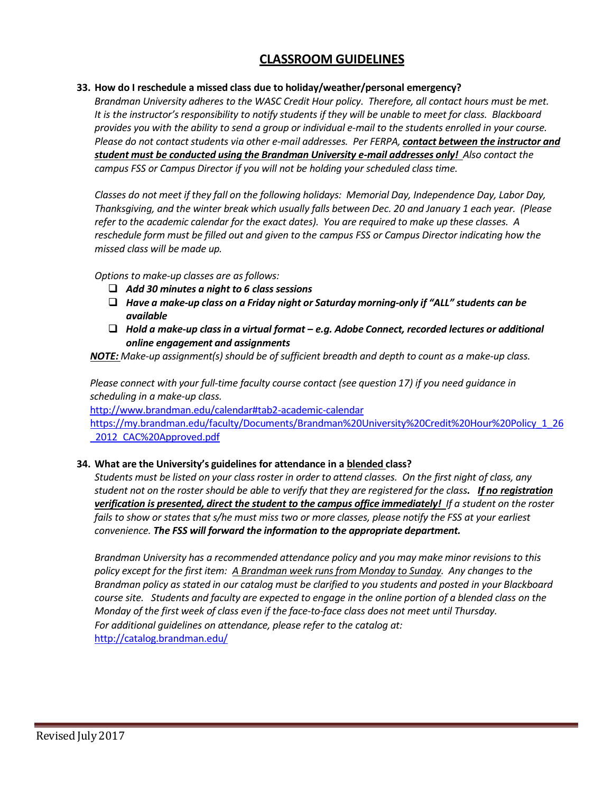## **CLASSROOM GUIDELINES**

## **33. How do I reschedule a missed class due to holiday/weather/personal emergency?**

*Brandman University adheres to the WASC Credit Hour policy. Therefore, all contact hours must be met. It is the instructor's responsibility to notify students if they will be unable to meet for class. Blackboard provides you with the ability to send a group or individual e-mail to the students enrolled in your course. Please do not contact students via other e-mail addresses. Per FERPA, contact between the instructor and student must be conducted using the Brandman University e-mail addresses only! Also contact the campus FSS or Campus Director if you will not be holding your scheduled class time.*

*Classes do not meet if they fall on the following holidays: Memorial Day, Independence Day, Labor Day, Thanksgiving, and the winter break which usually falls between Dec. 20 and January 1 each year. (Please refer to the academic calendar for the exact dates). You are required to make up these classes. A reschedule form must be filled out and given to the campus FSS or Campus Director indicating how the missed class will be made up.*

*Options to make-up classes are as follows:*

- *Add 30 minutes a night to 6 class sessions*
- *Have a make-up class on a Friday night or Saturday morning-only if "ALL" students can be available*
- *Hold a make-up classin a virtual format – e.g. Adobe Connect, recorded lectures or additional online engagement and assignments*

*MOTE: Make-up assignment(s) should be of sufficient breadth and depth to count as a make-up class.* 

*Please connect with your full-time faculty course contact (see question 17) if you need guidance in scheduling in a make-up class.*

[http://www.brandman.edu/calendar#tab2-academic-calendar](http://www.brandman.edu/calendar%23tab2-academic-calendar)

[https://my.brandman.edu/faculty/Documents/Brandman%20University%20Credit%20Hour%20Policy\\_1\\_26](https://my.brandman.edu/faculty/Documents/Brandman%20University%20Credit%20Hour%20Policy_1_26_2012_CAC%20Approved.pdf) 2012 CAC%20Approved.pdf

## **34. What are the University's guidelines for attendance in a blended class?**

*Students must be listed on your class roster in order to attend classes. On the first night of class, any* student not on the roster should be able to verify that they are registered for the class. If no registration *verification is presented, direct the student to the campus office immediately! If a student on the roster fails to show or states that s/he must miss two or more classes, please notify the FSS at your earliest convenience. The FSS will forward the information to the appropriate department.*

*Brandman University has a recommended attendance policy and you may make minor revisions to this policy except for the first item: A Brandman week runs from Monday to Sunday. Any changes to the Brandman policy as stated in our catalog must be clarified to you students and posted in your Blackboard course site. Students and faculty are expected to engage in the online portion of a blended class on the Monday of the first week of class even if the face-to-face class does not meet until Thursday. For additional guidelines on attendance, please refer to the catalog at:* <http://catalog.brandman.edu/>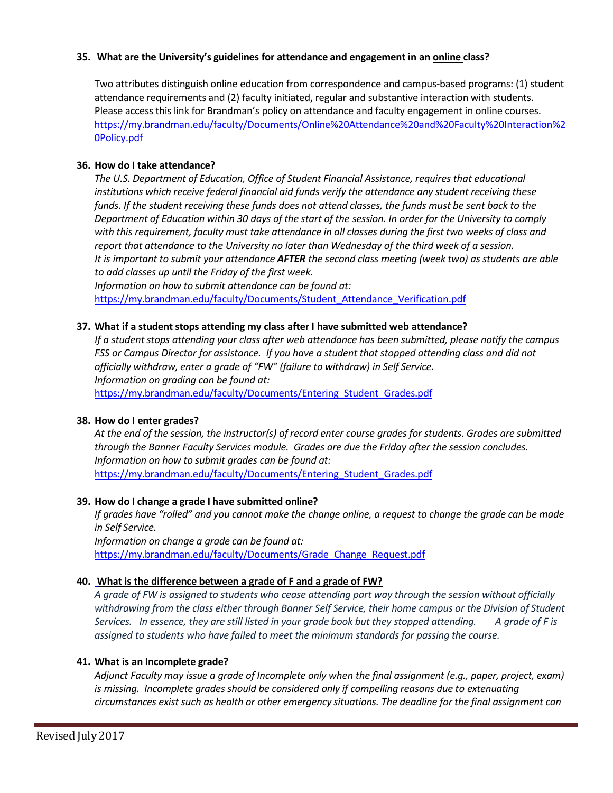## **35. What are the University's guidelines for attendance and engagement in an online class?**

Two attributes distinguish online education from correspondence and campus-based programs: (1) student attendance requirements and (2) faculty initiated, regular and substantive interaction with students. Please access this link for Brandman's policy on attendance and faculty engagement in online courses. [https://my.brandman.edu/faculty/Documents/Online%20Attendance%20and%20Faculty%20Interaction%2](https://my.brandman.edu/faculty/Documents/Online%20Attendance%20and%20Faculty%20Interaction%20Policy.pdf) [0Policy.pdf](https://my.brandman.edu/faculty/Documents/Online%20Attendance%20and%20Faculty%20Interaction%20Policy.pdf)

## **36. How do I take attendance?**

*The U.S. Department of Education, Office of Student Financial Assistance, requires that educational institutions which receive federal financial aid funds verify the attendance any student receiving these funds. If the student receiving these funds does not attend classes, the funds must be sent back to the* Department of Education within 30 days of the start of the session. In order for the University to comply *with this requirement, faculty must take attendance in all classes during the first two weeks of class and report that attendance to the University no later than Wednesday of the third week of a session. It is important to submit your attendance AFTER the second class meeting (week two) as students are able to add classes up until the Friday of the first week.*

*Information on how to submit attendance can be found at:* https://my.brandman.edu/faculty/Documents/Student Attendance Verification.pdf

## **37. What if a studentstops attending my class after I have submitted web attendance?**

*If* a student stops attending your class after web attendance has been submitted, please notify the campus *FSS or Campus Director for assistance. If you have a student that stopped attending class and did not officially withdraw, enter a grade of "FW" (failure to withdraw) in Self Service. Information on grading can be found at:*

[https://my.brandman.edu/faculty/Documents/Entering\\_Student\\_Grades.pdf](https://my.brandman.edu/faculty/Documents/Entering_Student_Grades.pdf)

## **38. How do I enter grades?**

*At the end of the session, the instructor(s) of record enter course grades for students. Grades are submitted through the Banner Faculty Services module. Grades are due the Friday after the session concludes. Information on how to submit grades can be found at:* https://my.brandman.edu/faculty/Documents/Entering Student Grades.pdf

## **39. How do I change a grade I have submitted online?**

*If grades have "rolled" and you cannot make the change online, a request to change the grade can be made in Self Service.*

*Information on change a grade can be found at:* [https://my.brandman.edu/faculty/Documents/Grade\\_Change\\_Request.pdf](https://my.brandman.edu/faculty/Documents/Grade_Change_Request.pdf)

## **40. What is the difference between a grade of F and a grade of FW?**

*A grade of FW is assigned to students who cease attending part way through the session without officially withdrawing from the class either through Banner Self Service, their home campus or the Division of Student Services. In essence, they are still listed in your grade book but they stopped attending. A grade of F is assigned to students who have failed to meet the minimum standards for passing the course.*

#### **41. What is an Incomplete grade?**

*Adjunct Faculty may issue a grade of Incomplete only when the final assignment (e.g., paper, project, exam) is missing. Incomplete grades should be considered only if compelling reasons due to extenuating circumstances exist such as health or other emergency situations. The deadline for the final assignment can*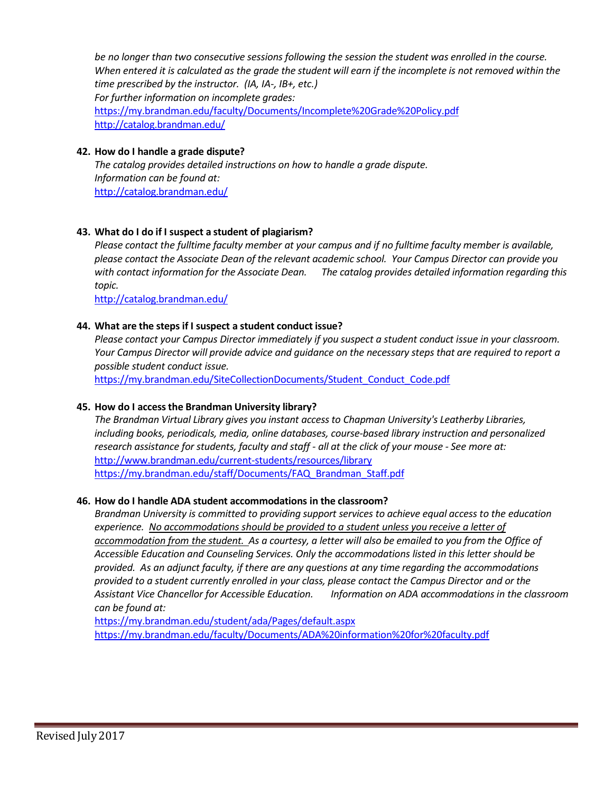*be no longer than two consecutive sessions following the session the student was enrolled in the course.* When entered it is calculated as the grade the student will earn if the incomplete is not removed within the *time prescribed by the instructor. (IA, IA-, IB+, etc.)*

*For further information on incomplete grades:* <https://my.brandman.edu/faculty/Documents/Incomplete%20Grade%20Policy.pdf> <http://catalog.brandman.edu/>

## **42. How do I handle a grade dispute?**

*The catalog provides detailed instructions on how to handle a grade dispute. Information can be found at:* <http://catalog.brandman.edu/>

## **43. What do I do if I suspect a student of plagiarism?**

*Please contact the fulltime faculty member at your campus and if no fulltime faculty member is available, please contact the Associate Dean of the relevant academic school. Your Campus Director can provide you with contact information for the Associate Dean. The catalog provides detailed information regarding this topic.*

<http://catalog.brandman.edu/>

## **44. What are the stepsif I suspect a student conduct issue?**

*Please contact your Campus Director immediately if you suspect a student conduct issue in your classroom. Your Campus Director will provide advice and guidance on the necessary steps that are required to report a possible student conduct issue.*

[https://my.brandman.edu/SiteCollectionDocuments/Student\\_Conduct\\_Code.pdf](https://my.brandman.edu/SiteCollectionDocuments/Student_Conduct_Code.pdf)

## **45. How do I accessthe Brandman University library?**

*The Brandman Virtual Library gives you instant access to Chapman University's Leatherby Libraries, including books, periodicals, media, online databases, course-based library instruction and personalized research assistance for students, faculty and staff - all at the click of your mouse - See more at:* <http://www.brandman.edu/current-students/resources/library> [https://my.brandman.edu/staff/Documents/FAQ\\_Brandman\\_Staff.pdf](https://my.brandman.edu/staff/Documents/FAQ_Brandman_Staff.pdf)

## **46. How do I handle ADA student accommodations in the classroom?**

*Brandman University is committed to providing support services to achieve equal access to the education experience. No accommodations should be provided to a student unless you receive a letter of accommodation from the student. As a courtesy, a letter will also be emailed to you from the Office of Accessible Education and Counseling Services. Only the accommodations listed in this letter should be provided. As an adjunct faculty, if there are any questions at any time regarding the accommodations provided to a student currently enrolled in your class, please contact the Campus Director and or the Assistant Vice Chancellor for Accessible Education. Information on ADA accommodations in the classroom can be found at:*

<https://my.brandman.edu/student/ada/Pages/default.aspx> <https://my.brandman.edu/faculty/Documents/ADA%20information%20for%20faculty.pdf>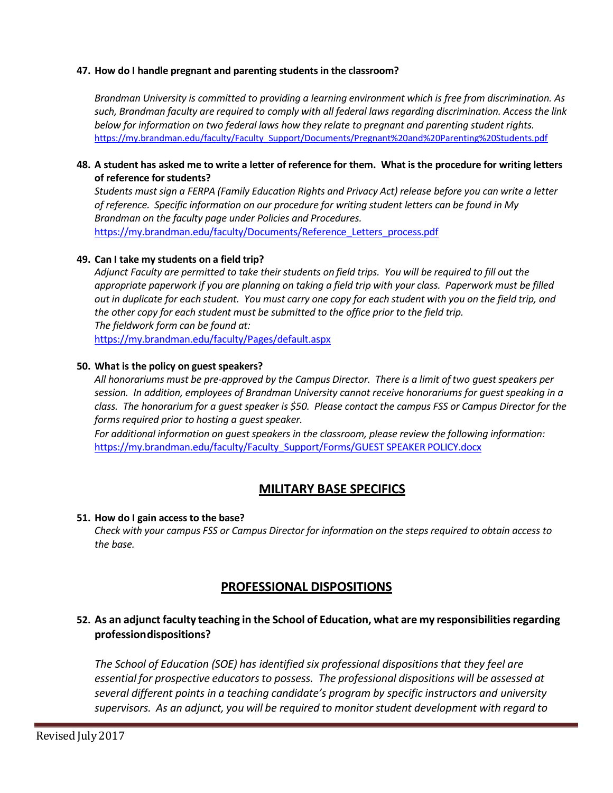## **47. How do I handle pregnant and parenting students in the classroom?**

*Brandman University is committed to providing a learning environment which is free from discrimination. As such, Brandman faculty are required to comply with all federal laws regarding discrimination. Access the link below for information on two federal laws how they relate to pregnant and parenting student rights.* [https://my.brandman.edu/faculty/Faculty\\_Support/Documents/Pregnant%20and%20Parenting%20Students.pdf](https://my.brandman.edu/faculty/Faculty_Support/Documents/Pregnant%20and%20Parenting%20Students.pdf)

## 48. A student has asked me to write a letter of reference for them. What is the procedure for writing letters **of reference forstudents?**

*Students must sign a FERPA (Family Education Rights and Privacy Act) release before you can write a letter of reference. Specific information on our procedure for writing student letters can be found in My Brandman on the faculty page under Policies and Procedures.* [https://my.brandman.edu/faculty/Documents/Reference\\_Letters\\_process.pdf](https://my.brandman.edu/faculty/Documents/Reference_Letters_process.pdf)

## **49. Can I take my students on a field trip?**

Adjunct Faculty are permitted to take their students on field trips. You will be required to fill out the *appropriate paperwork if you are planning on taking a field trip with your class. Paperwork must be filled* out in duplicate for each student. You must carry one copy for each student with you on the field trip, and *the other copy for each student must be submitted to the office prior to the field trip. The fieldwork form can be found at:* <https://my.brandman.edu/faculty/Pages/default.aspx>

#### **50. What is the policy on guest speakers?**

*All honorariums must be pre-approved by the Campus Director. There is a limit of two guest speakers per session. In addition, employees of Brandman University cannot receive honorariums for guest speaking in a class. The honorarium for a guest speaker is \$50. Please contact the campus FSS or Campus Director for the forms required prior to hosting a guest speaker.*

*For additional information on guest speakers in the classroom, please review the following information:* [https://my.brandman.edu/faculty/Faculty\\_Support/Forms/GUEST](https://my.brandman.edu/faculty/Faculty_Support/Forms/GUEST%20SPEAKER%20POLICY.docx) SPEAKER POLICY.docx

## **MILITARY BASE SPECIFICS**

#### **51. How do I gain access to the base?**

*Check with your campus FSS or Campus Director for information on the steps required to obtain access to the base.*

## **PROFESSIONAL DISPOSITIONS**

## **52. As an adjunctfaculty teaching in the School of Education, what are my responsibilitiesregarding professiondispositions?**

*The School of Education (SOE) has identified six professional dispositionsthat they feel are essential for prospective educatorsto possess. The professional dispositions will be assessed at several different points in a teaching candidate's program by specific instructors and university supervisors. As an adjunct, you will be required to monitor student development with regard to*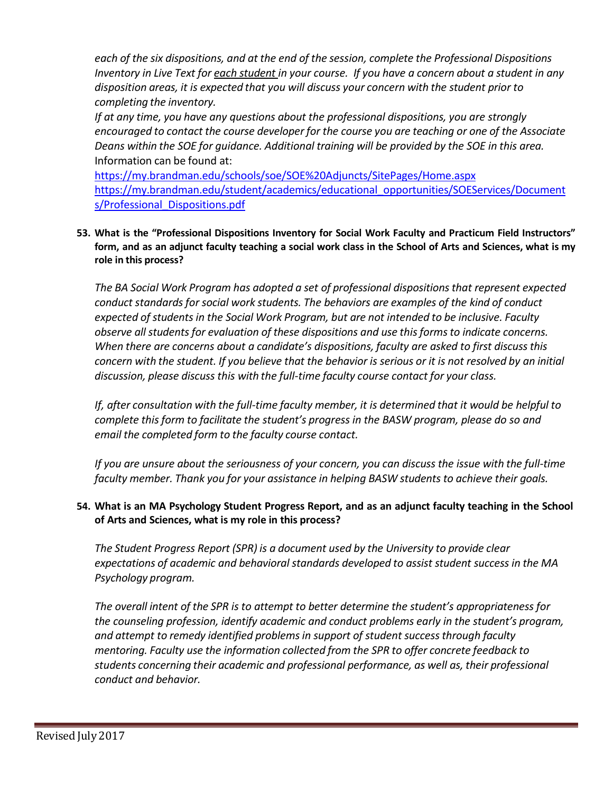*each of the six dispositions, and at the end of the session, complete the Professional Dispositions* Inventory in Live Text for each student in your course. If you have a concern about a student in any *disposition areas, it is expected that you will discuss your concern with the student prior to completing the inventory.*

*If at any time, you have any questions about the professional dispositions, you are strongly encouraged to contact the course developer for the course you are teaching or one of the Associate Deans within the SOE for guidance. Additional training will be provided by the SOE in this area.* Information can be found at:

<https://my.brandman.edu/schools/soe/SOE%20Adjuncts/SitePages/Home.aspx> [https://my.brandman.edu/student/academics/educational\\_opportunities/SOEServices/Document](https://my.brandman.edu/student/academics/educational_opportunities/SOEServices/Documents/Professional_Dispositions.pdf) [s/Professional\\_Dispositions.pdf](https://my.brandman.edu/student/academics/educational_opportunities/SOEServices/Documents/Professional_Dispositions.pdf)

**53. What is the "Professional Dispositions Inventory for Social Work Faculty and Practicum Field Instructors"** form, and as an adjunct faculty teaching a social work class in the School of Arts and Sciences, what is my **role in this process?**

*The BA Social Work Program has adopted a set of professional dispositionsthat represent expected conduct standardsfor social work students. The behaviors are examples of the kind of conduct expected of students in the Social Work Program, but are not intended to be inclusive. Faculty observe all studentsfor evaluation of these dispositions and use thisformsto indicate concerns. When there are concerns about a candidate's dispositions, faculty are asked to first discussthis* concern with the student. If you believe that the behavior is serious or it is not resolved by an initial *discussion, please discuss this with the full-time faculty course contact for your class.*

*If, after consultation with the full-time faculty member, it is determined that it would be helpful to complete thisform to facilitate the student's progress in the BASW program, please do so and email the completed form to the faculty course contact.*

If you are unsure about the seriousness of your concern, you can discuss the issue with the full-time *faculty member. Thank you for your assistance in helping BASW students to achieve their goals.*

## 54. What is an MA Psychology Student Progress Report, and as an adjunct faculty teaching in the School **of Arts and Sciences, what is my role in this process?**

*The Student Progress Report (SPR) is a document used by the University to provide clear expectations of academic and behavioral standards developed to assist student success in the MA Psychology program.*

*The overall intent of the SPR is to attempt to better determine the student's appropriateness for the counseling profession, identify academic and conduct problems early in the student's program, and attempt to remedy identified problemsin support of student successthrough faculty mentoring. Faculty use the information collected from the SPR to offer concrete feedback to students concerning their academic and professional performance, as well as, their professional conduct and behavior.*